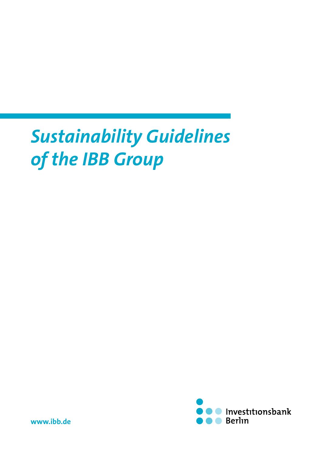# *Sustainability Guidelines of the IBB Group*



**[www.ibb.de](http://www.ibb.de)**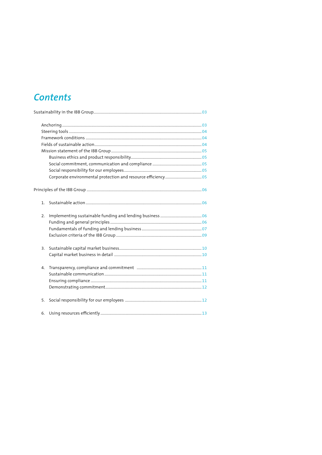# **Contents**

| 2. |  |
|----|--|
|    |  |
|    |  |
|    |  |
| 3. |  |
|    |  |
| 4. |  |
|    |  |
|    |  |
|    |  |
| 5. |  |
| 6. |  |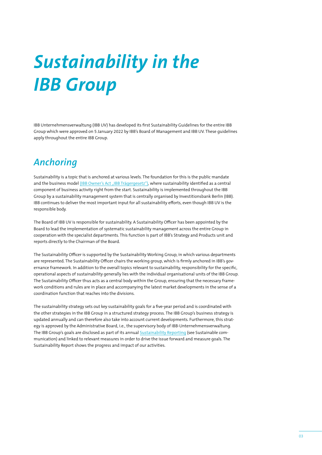# <span id="page-2-0"></span>*Sustainability in the IBB Group*

IBB Unternehmensverwaltung (IBB UV) has developed its first Sustainability Guidelines for the entire IBB Group which were approved on 5 January 2022 by IBB's Board of Management and IBB UV. These guidelines apply throughout the entire IBB Group.

# *Anchoring*

Sustainability is a topic that is anchored at various levels. The foundation for this is the public mandate and the business model (IBB Owner's Act ["IBB Trägergesetz"\)](https://www.ibb.de/media/dokumente/investor-relations/rechtliche-grundlagen/ibb-gesetz.pdf), where sustainability identified as a central component of business activity right from the start. Sustainability is implemented throughout the IBB Group by a sustainability management system that is centrally organised by Investitionsbank Berlin (IBB). IBB continues to deliver the most important input for all sustainability efforts, even though IBB UV is the responsible body.

The Board of IBB UV is responsible for sustainability. A Sustainability Officer has been appointed by the Board to lead the implementation of systematic sustainability management across the entire Group in cooperation with the specialist departments. This function is part of IBB's Strategy and Products unit and reports directly to the Chairman of the Board.

The Sustainability Officer is supported by the Sustainability Working Group, in which various departments are represented. The Sustainability Officer chairs the working group, which is firmly anchored in IBB's governance framework. In addition to the overall topics relevant to sustainability, responsibility for the specific, operational aspects of sustainability generally lies with the individual organisational units of the IBB Group. The Sustainability Officer thus acts as a central body within the Group, ensuring that the necessary framework conditions and rules are in place and accompanying the latest market developments in the sense of a coordination function that reaches into the divisions.

The sustainability strategy sets out key sustainability goals for a five-year period and is coordinated with the other strategies in the IBB Group in a structured strategy process. The IBB Group's business strategy is updated annually and can therefore also take into account current developments. Furthermore, this strategy is approved by the Administrative Board, i.e., the supervisory body of IBB-Unternehmensverwaltung. The IBB Group's goals are disclosed as part of its annual [Sustainability Reporting](https://www.ibb.de/media/dokumente/ueber-die-ibb/nachhaltigkeit/ibb-nachhaltigkeitsbericht-2020.pdf) (see Sustainable communication) and linked to relevant measures in order to drive the issue forward and measure goals. The Sustainability Report shows the progress and impact of our activities.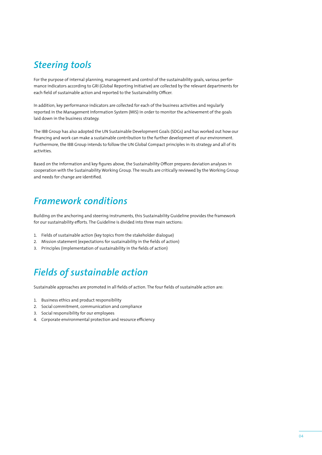# <span id="page-3-0"></span>*Steering tools*

For the purpose of internal planning, management and control of the sustainability goals, various performance indicators according to GRI (Global Reporting Initiative) are collected by the relevant departments for each field of sustainable action and reported to the Sustainability Officer.

In addition, key performance indicators are collected for each of the business activities and regularly reported in the Management Information System (MIS) in order to monitor the achievement of the goals laid down in the business strategy.

The IBB Group has also adopted the UN Sustainable Development Goals (SDGs) and has worked out how our financing and work can make a sustainable contribution to the further development of our environment. Furthermore, the IBB Group intends to follow the UN Global Compact principles in its strategy and all of its activities.

Based on the information and key figures above, the Sustainability Officer prepares deviation analyses in cooperation with the Sustainability Working Group. The results are critically reviewed by the Working Group and needs for change are identified.

## *Framework conditions*

Building on the anchoring and steering instruments, this Sustainability Guideline provides the framework for our sustainability efforts. The Guideline is divided into three main sections:

- 1. Fields of sustainable action (key topics from the stakeholder dialogue)
- 2. Mission statement (expectations for sustainability in the fields of action)
- 3. Principles (implementation of sustainability in the fields of action)

# *Fields of sustainable action*

Sustainable approaches are promoted in all fields of action. The four fields of sustainable action are:

- 1. Business ethics and product responsibility
- 2. Social commitment, communication and compliance
- 3. Social responsibility for our employees
- 4. Corporate environmental protection and resource efficiency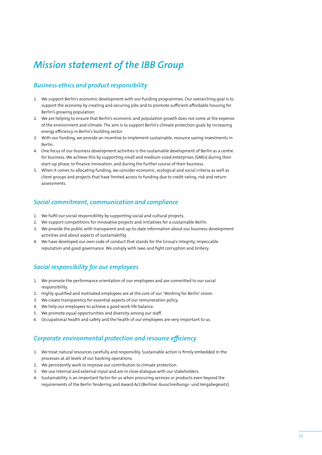# <span id="page-4-0"></span>*Mission statement of the IBB Group*

### *Business ethics and product responsibility*

- 1. We support Berlin's economic development with our funding programmes. Our overarching goal is to support the economy by creating and securing jobs and to promote sufficient affordable housing for Berlin's growing population.
- 2. We are helping to ensure that Berlin's economic and population growth does not come at the expense of the environment and climate. The aim is to support Berlin's climate protection goals by increasing energy efficiency in Berlin's building sector.
- 3. With our funding, we provide an incentive to implement sustainable, resource saving investments in Berlin.
- 4. One focus of our business development activities is the sustainable development of Berlin as a centre for business. We achieve this by supporting small and medium-sized enterprises (SMEs) during their start-up phase, to finance innovation, and during the further course of their business.
- 5. When it comes to allocating funding, we consider economic, ecological and social criteria as well as client groups and projects that have limited access to funding due to credit rating, risk and return assessments.

### *Social commitment, communication and compliance*

- 1. We fulfil our social responsibility by supporting social and cultural projects.
- 2. We support competitions for innovative projects and initiatives for a sustainable Berlin.
- 3. We provide the public with transparent and up-to-date information about our business development activities and about aspects of sustainability.
- 4. We have developed our own code of conduct that stands for the Group's integrity, impeccable reputation and good governance. We comply with laws and fight corruption and bribery.

### *Social responsibility for our employees*

- 1. We promote the performance orientation of our employees and are committed to our social responsibility.
- 2. Highly qualified and motivated employees are at the core of our 'Working for Berlin' vision.
- 3. We create transparency for essential aspects of our remuneration policy.
- 4. We help our employees to achieve a good work-life balance.
- 5. We promote equal opportunities and diversity among our staff.
- 6. Occupational health and safety and the health of our employees are very important to us.

### *Corporate environmental protection and resource efficiency*

- 1. We treat natural resources carefully and responsibly. Sustainable action is firmly embedded in the processes at all levels of our banking operations.
- 2. We persistently work to improve our contribution to climate protection.
- 3. We use internal and external input and are in close dialogue with our stakeholders.
- 4. Sustainability is an important factor for us when procuring services or products even beyond the requirements of the Berlin Tendering and Award Act (Berliner Ausschreibungs- und Vergabegesetz).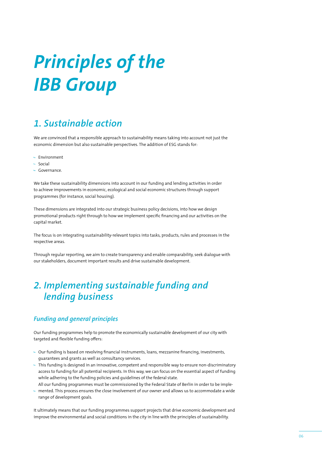# <span id="page-5-0"></span>*Principles of the IBB Group*

# *1. Sustainable action*

We are convinced that a responsible approach to sustainability means taking into account not just the economic dimension but also sustainable perspectives. The addition of ESG stands for:

- Environment
- Social
- Governance.

We take these sustainability dimensions into account in our funding and lending activities in order to achieve improvements in economic, ecological and social economic structures through support programmes (for instance, social housing).

These dimensions are integrated into our strategic business policy decisions, into how we design promotional products right through to how we implement specific financing and our activities on the capital market.

The focus is on integrating sustainability-relevant topics into tasks, products, rules and processes in the respective areas.

Through regular reporting, we aim to create transparency and enable comparability, seek dialogue with our stakeholders, document important results and drive sustainable development.

# *2. Implementing sustainable funding and lending business*

### *Funding and general principles*

Our funding programmes help to promote the economically sustainable development of our city with targeted and flexible funding offers:

- Our funding is based on revolving financial instruments, loans, mezzanine financing, investments, guarantees and grants as well as consultancy services.
- This funding is designed in an innovative, competent and responsible way to ensure non-discriminatory access to funding for all potential recipients. In this way, we can focus on the essential aspect of funding while adhering to the funding policies and guidelines of the federal state.

• All our funding programmes must be commissioned by the Federal State of Berlin in order to be imple-

 $-$  mented. This process ensures the close involvement of our owner and allows us to accommodate a wide range of development goals.

It ultimately means that our funding programmes support projects that drive economic development and improve the environmental and social conditions in the city in line with the principles of sustainability.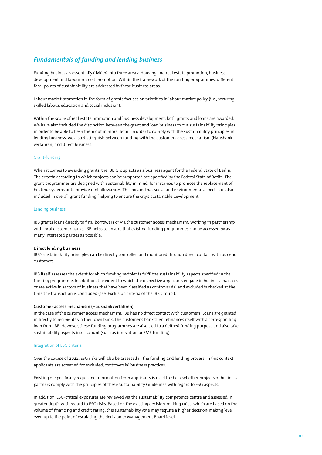### <span id="page-6-0"></span>*Fundamentals of funding and lending business*

Funding business is essentially divided into three areas: Housing and real estate promotion, business development and labour market promotion. Within the framework of the funding programmes, different focal points of sustainability are addressed in these business areas.

Labour market promotion in the form of grants focuses on priorities in labour market policy (i. e., securing skilled labour, education and social inclusion).

Within the scope of real estate promotion and business development, both grants and loans are awarded. We have also included the distinction between the grant and loan business in our sustainability principles in order to be able to flesh them out in more detail. In order to comply with the sustainability principles in lending business, we also distinguish between funding with the customer access mechanism (Hausbankverfahren) and direct business.

#### Grant-funding

When it comes to awarding grants, the IBB Group acts as a business agent for the Federal State of Berlin. The criteria according to which projects can be supported are specified by the Federal State of Berlin. The grant programmes are designed with sustainability in mind, for instance, to promote the replacement of heating systems or to provide rent allowances. This means that social and environmental aspects are also included in overall grant funding, helping to ensure the city's sustainable development.

#### Lending business

IBB grants loans directly to final borrowers or via the customer access mechanism. Working in partnership with local customer banks, IBB helps to ensure that existing funding programmes can be accessed by as many interested parties as possible.

#### **Direct lending business**

IBB's sustainability principles can be directly controlled and monitored through direct contact with our end customers.

IBB itself assesses the extent to which funding recipients fulfil the sustainability aspects specified in the funding programme. In addition, the extent to which the respective applicants engage in business practices or are active in sectors of business that have been classified as controversial and excluded is checked at the time the transaction is concluded (see 'Exclusion criteria of the IBB Group').

#### **Customer access mechanism (Hausbankverfahren)**

In the case of the customer access mechanism, IBB has no direct contact with customers. Loans are granted indirectly to recipients via their own bank. The customer's bank then refinances itself with a corresponding loan from IBB. However, these funding programmes are also tied to a defined funding purpose and also take sustainability aspects into account (such as innovation or SME funding).

#### Integration of ESG criteria

Over the course of 2022, ESG risks will also be assessed in the funding and lending process. In this context, applicants are screened for excluded, controversial business practices.

Existing or specifically requested information from applicants is used to check whether projects or business partners comply with the principles of these Sustainability Guidelines with regard to ESG aspects.

In addition, ESG-critical exposures are reviewed via the sustainability competence centre and assessed in greater depth with regard to ESG risks. Based on the existing decision-making rules, which are based on the volume of financing and credit rating, this sustainability vote may require a higher decision-making level even up to the point of escalating the decision to Management Board level.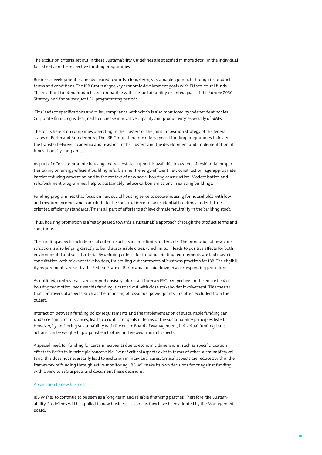The exclusion criteria set out in these Sustainability Guidelines are specified in more detail in the individual fact sheets for the respective funding programmes.

Business development is already geared towards a long-term, sustainable approach through its product terms and conditions. The IBB Group aligns key economic development goals with EU structural funds. The resultant funding products are compatible with the sustainability-oriented goals of the Europe 2030 Strategy and the subsequent EU programming periods.

 This leads to specifications and rules, compliance with which is also monitored by independent bodies. Corporate financing is designed to increase innovative capacity and productivity, especially of SMEs.

The focus here is on companies operating in the clusters of the joint innovation strategy of the federal states of Berlin and Brandenburg. The IBB Group therefore offers special funding programmes to foster the transfer between academia and research in the clusters and the development and implementation of innovations by companies.

As part of efforts to promote housing and real estate, support is available to owners of residential properties taking on energy-efficient building refurbishment, energy-efficient new construction, age-appropriate, barrier-reducing conversion and in the context of new social housing construction. Modernisation and refurbishment programmes help to sustainably reduce carbon emissions in existing buildings.

Funding programmes that focus on new social housing serve to secure housing for households with low and medium incomes and contribute to the construction of new residential buildings under futureoriented efficiency standards. This is all part of efforts to achieve climate neutrality in the building stock.

Thus, housing promotion is already geared towards a sustainable approach through the product terms and conditions.

The funding aspects include social criteria, such as income limits for tenants. The promotion of new construction is also helping directly to build sustainable cities, which in turn leads to positive effects for both environmental and social criteria. By defining criteria for funding, binding requirements are laid down in consultation with relevant stakeholders, thus ruling out controversial business practices for IBB. The eligibility requirements are set by the Federal State of Berlin and are laid down in a corresponding procedure.

As outlined, controversies are comprehensively addressed from an ESG perspective for the entire field of housing promotion, because this funding is carried out with close stakeholder involvement. This means that controversial aspects, such as the financing of fossil fuel power plants, are often excluded from the outset.

Interaction between funding policy requirements and the implementation of sustainable funding can, under certain circumstances, lead to a conflict of goals in terms of the sustainability principles listed. However, by anchoring sustainability with the entire Board of Management, individual funding transactions can be weighed up against each other and viewed from all aspects.

A special need for funding for certain recipients due to economic dimensions, such as specific location effects in Berlin in in principle conceivable. Even if critical aspects exist in terms of other sustainability criteria, this does not necessarily lead to exclusion in individual cases. Critical aspects are reduced within the framework of funding through active monitoring. IBB will make its own decisions for or against funding with a view to ESG aspects and document these decisions.

#### Application to new business

IBB wishes to continue to be seen as a long-term and reliable financing partner. Therefore, the Sustainability Guidelines will be applied to new business as soon as they have been adopted by the Management Board.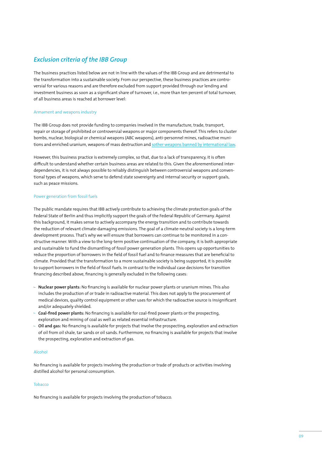### <span id="page-8-0"></span>*Exclusion criteria of the IBB Group*

The business practices listed below are not in line with the values of the IBB Group and are detrimental to the transformation into a sustainable society. From our perspective, these business practices are controversial for various reasons and are therefore excluded from support provided through our lending and investment business as soon as a significant share of turnover, i.e., more than ten percent of total turnover, of all business areas is reached at borrower level:

#### Armament and weapons industry

The IBB Group does not provide funding to companies involved in the manufacture, trade, transport, repair or storage of prohibited or controversial weapons or major components thereof. This refers to cluster bombs, nuclear, biological or chemical weapons (ABC weapons), anti-personnel mines, radioactive munitions and enriched uranium, weapons of mass destruction and [sother weapons banned by international law.](https://www.auswaertiges-amt.de/de/aussenpolitik/themen/abruestung-ruestungskontrolle/uebersicht-konvalles-node/vn-waffenuebereinkommen-ccw-node?openAccordionId=item-204800-0-panel)

However, this business practice is extremely complex, so that, due to a lack of transparency, it is often difficult to understand whether certain business areas are related to this. Given the aforementioned interdependencies, it is not always possible to reliably distinguish between controversial weapons and conventional types of weapons, which serve to defend state sovereignty and internal security or support goals, such as peace missions.

#### Power generation from fossil fuels

The public mandate requires that IBB actively contribute to achieving the climate protection goals of the Federal State of Berlin and thus implicitly support the goals of the Federal Republic of Germany. Against this background, it makes sense to actively accompany the energy transition and to contribute towards the reduction of relevant climate-damaging emissions. The goal of a climate-neutral society is a long-term development process. That's why we will ensure that borrowers can continue to be monitored in a constructive manner. With a view to the long-term positive continuation of the company, it is both appropriate and sustainable to fund the dismantling of fossil power generation plants. This opens up opportunities to reduce the proportion of borrowers in the field of fossil fuel and to finance measures that are beneficial to climate. Provided that the transformation to a more sustainable society is being supported, it is possible to support borrowers in the field of fossil fuels. In contrast to the individual case decisions for transition financing described above, financing is generally excluded in the following cases:

- **Nuclear power plants:** No financing is available for nuclear power plants or uranium mines. This also includes the production of or trade in radioactive material. This does not apply to the procurement of medical devices, quality control equipment or other uses for which the radioactive source is insignificant and/or adequately shielded.
- **Coal-fired power plants:** No financing is available for coal-fired power plants or the prospecting, exploration and mining of coal as well as related essential infrastructure.
- **Oil and gas:** No financing is available for projects that involve the prospecting, exploration and extraction of oil from oil shale, tar sands or oil sands. Furthermore, no financing is available for projects that involve the prospecting, exploration and extraction of gas.

#### Alcohol

No financing is available for projects involving the production or trade of products or activities involving distilled alcohol for personal consumption.

#### Tobacco

No financing is available for projects involving the production of tobacco.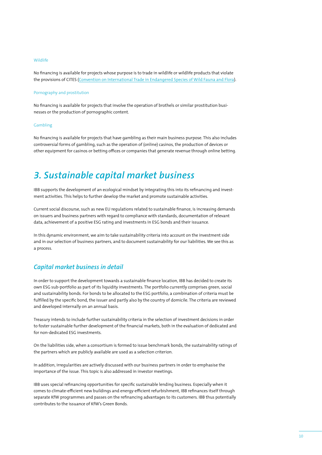#### <span id="page-9-0"></span>Wildlife

No financing is available for projects whose purpose is to trade in wildlife or wildlife products that violate the provisions of CITES ([Convention on International Trade in Endangered Species of Wild Fauna and Flora\)](https://cites.org/eng).

#### Pornography and prostitution

No financing is available for projects that involve the operation of brothels or similar prostitution businesses or the production of pornographic content.

#### Gambling

No financing is available for projects that have gambling as their main business purpose. This also includes controversial forms of gambling, such as the operation of (online) casinos, the production of devices or other equipment for casinos or betting offices or companies that generate revenue through online betting.

## *3. Sustainable capital market business*

IBB supports the development of an ecological mindset by integrating this into its refinancing and investment activities. This helps to further develop the market and promote sustainable activities.

Current social discourse, such as new EU regulations related to sustainable finance, is increasing demands on issuers and business partners with regard to compliance with standards, documentation of relevant data, achievement of a positive ESG rating and investments in ESG bonds and their issuance.

In this dynamic environment, we aim to take sustainability criteria into account on the investment side and in our selection of business partners, and to document sustainability for our liabilities. We see this as a process.

### *Capital market business in detail*

In order to support the development towards a sustainable finance location, IBB has decided to create its own ESG sub-portfolio as part of its liquidity investments. The portfolio currently comprises green, social and sustainability bonds. For bonds to be allocated to the ESG portfolio, a combination of criteria must be fulfilled by the specific bond, the issuer and partly also by the country of domicile. The criteria are reviewed and developed internally on an annual basis.

Treasury intends to include further sustainability criteria in the selection of investment decisions in order to foster sustainable further development of the financial markets, both in the evaluation of dedicated and for non-dedicated ESG investments.

On the liabilities side, when a consortium is formed to issue benchmark bonds, the sustainability ratings of the partners which are publicly available are used as a selection criterion.

In addition, irregularities are actively discussed with our business partners in order to emphasise the importance of the issue. This topic is also addressed in investor meetings.

IBB uses special refinancing opportunities for specific sustainable lending business. Especially when it comes to climate-efficient new buildings and energy-efficient refurbishment, IBB refinances itself through separate KfW programmes and passes on the refinancing advantages to its customers. IBB thus potentially contributes to the issuance of KfW's Green Bonds.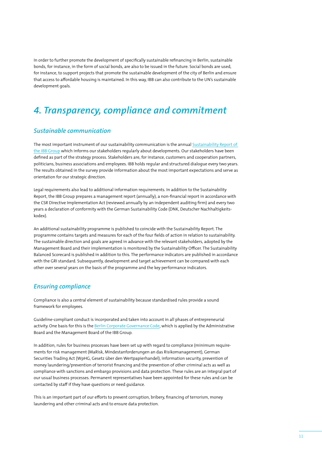<span id="page-10-0"></span>In order to further promote the development of specifically sustainable refinancing in Berlin, sustainable bonds, for instance, in the form of social bonds, are also to be issued in the future. Social bonds are used, for instance, to support projects that promote the sustainable development of the city of Berlin and ensure that access to affordable housing is maintained. In this way, IBB can also contribute to the UN's sustainable development goals.

### *4. Transparency, compliance and commitment*

### *Sustainable communication*

The most important instrument of our sustainability communication is the annual [Sustainability Report of](https://www.ibb.de/de/ueber-uns/nachhaltigkeit/nachhaltigkeit.html)  [the IBB Group](https://www.ibb.de/de/ueber-uns/nachhaltigkeit/nachhaltigkeit.html) which informs our stakeholders regularly about developments. Our stakeholders have been defined as part of the strategy process. Stakeholders are, for instance, customers and cooperation partners, politicians, business associations and employees. IBB holds regular and structured dialogue every two years. The results obtained in the survey provide information about the most important expectations and serve as orientation for our strategic direction.

Legal requirements also lead to additional information requirements. In addition to the Sustainability Report, the IBB Group prepares a management report (annually), a non-financial report in accordance with the CSR Directive Implementation Act (reviewed annually by an independent auditing firm) and every two years a declaration of conformity with the German Sustainability Code (DNK, Deutscher Nachhaltigkeitskodex).

An additional sustainability programme is published to coincide with the Sustainability Report. The programme contains targets and measures for each of the four fields of action in relation to sustainability. The sustainable direction and goals are agreed in advance with the relevant stakeholders, adopted by the Management Board and their implementation is monitored by the Sustainability Officer. The Sustainability Balanced Scorecard is published in addition to this. The performance indicators are published in accordance with the GRI standard. Subsequently, development and target achievement can be compared with each other over several years on the basis of the programme and the key performance indicators.

### *Ensuring compliance*

Compliance is also a central element of sustainability because standardised rules provide a sound framework for employees.

Guideline-compliant conduct is incorporated and taken into account in all phases of entrepreneurial activity. One basis for this is the [Berlin Corporate Governance Code](https://www.berlin.de/sen/finanzen/vermoegen/downloads/artikel.7236.php), which is applied by the Administrative Board and the Management Board of the IBB Group.

In addition, rules for business processes have been set up with regard to compliance (minimum requirements for risk management (MaRisk, Mindestanforderungen an das Risikomanagement), German Securities Trading Act (WpHG, Gesetz über den Wertpapierhandel), information security, prevention of money laundering/prevention of terrorist financing and the prevention of other criminal acts as well as compliance with sanctions and embargo provisions and data protection. These rules are an integral part of our usual business processes. Permanent representatives have been appointed for these rules and can be contacted by staff if they have questions or need guidance.

This is an important part of our efforts to prevent corruption, bribery, financing of terrorism, money laundering and other criminal acts and to ensure data protection.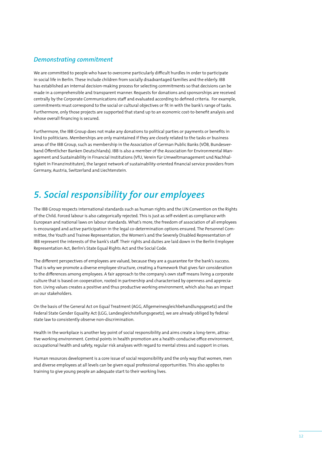### <span id="page-11-0"></span>*Demonstrating commitment*

We are committed to people who have to overcome particularly difficult hurdles in order to participate in social life in Berlin. These include children from socially disadvantaged families and the elderly. IBB has established an internal decision-making process for selecting commitments so that decisions can be made in a comprehensible and transparent manner. Requests for donations and sponsorships are received centrally by the Corporate Communications staff and evaluated according to defined criteria. For example, commitments must correspond to the social or cultural objectives or fit in with the bank's range of tasks. Furthermore, only those projects are supported that stand up to an economic cost-to-benefit analysis and whose overall financing is secured.

Furthermore, the IBB Group does not make any donations to political parties or payments or benefits in kind to politicians. Memberships are only maintained if they are closely related to the tasks or business areas of the IBB Group, such as membership in the Association of German Public Banks (VÖB, Bundesverband Öffentlicher Banken Deutschlands). IBB is also a member of the Association for Environmental Management and Sustainability in Financial Institutions (VfU, Verein für Umweltmanagement und Nachhaltigkeit in Finanzinstituten), the largest network of sustainability-oriented financial service providers from Germany, Austria, Switzerland and Liechtenstein.

# *5. Social responsibility for our employees*

The IBB Group respects international standards such as human rights and the UN Convention on the Rights of the Child. Forced labour is also categorically rejected. This is just as self-evident as compliance with European and national laws on labour standards. What's more, the freedom of association of all employees is encouraged and active participation in the legal co-determination options ensured. The Personnel Committee, the Youth and Trainee Representation, the Women's and the Severely Disabled Representation of IBB represent the interests of the bank's staff. Their rights and duties are laid down in the Berlin Employee Representation Act, Berlin's State Equal Rights Act and the Social Code.

The different perspectives of employees are valued, because they are a guarantee for the bank's success. That is why we promote a diverse employee structure, creating a framework that gives fair consideration to the differences among employees. A fair approach to the company's own staff means living a corporate culture that is based on cooperation, rooted in partnership and characterised by openness and appreciation. Living values creates a positive and thus productive working environment, which also has an impact on our stakeholders.

On the basis of the General Act on Equal Treatment (AGG, Allgemeinesgleichbehandlungsgesetz) and the Federal State Gender Equality Act (LGG, Landesgleichstellungsgesetz), we are already obliged by federal state law to consistently observe non-discrimination.

Health in the workplace is another key point of social responsibility and aims create a long-term, attractive working environment. Central points in health promotion are a health-conducive office environment, occupational health and safety, regular risk analyses with regard to mental stress and support in crises.

Human resources development is a core issue of social responsibility and the only way that women, men and diverse employees at all levels can be given equal professional opportunities. This also applies to training to give young people an adequate start to their working lives.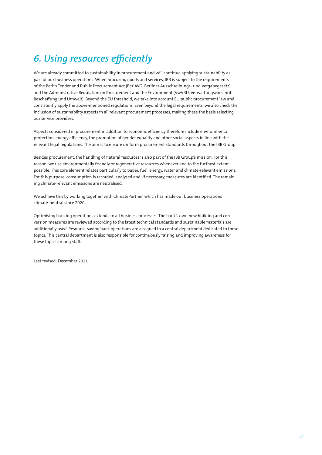# <span id="page-12-0"></span>*6. Using resources efficiently*

We are already committed to sustainability in procurement and will continue applying sustainability as part of our business operations. When procuring goods and services, IBB is subject to the requirements of the Berlin Tender and Public Procurement Act (BerlAVG, Berliner Ausschreibungs- und Vergabegesetz) and the Administrative Regulation on Procurement and the Environment (VwVBU, Verwaltungsvorschrift Beschaffung und Umwelt). Beyond the EU threshold, we take into account EU public procurement law and consistently apply the above-mentioned regulations. Even beyond the legal requirements, we also check the inclusion of sustainability aspects in all relevant procurement processes, making these the basis selecting our service providers.

Aspects considered in procurement in addition to economic efficiency therefore include environmental protection, energy efficiency, the promotion of gender equality and other social aspects in line with the relevant legal regulations. The aim is to ensure uniform procurement standards throughout the IBB Group.

Besides procurement, the handling of natural resources is also part of the IBB Group's mission. For this reason, we use environmentally friendly or regenerative resources whenever and to the furthest extent possible. This core element relates particularly to paper, fuel, energy, water and climate-relevant emissions. For this purpose, consumption is recorded, analysed and, if necessary, measures are identified. The remaining climate-relevant emissions are neutralised.

We achieve this by working together with ClimatePartner, which has made our business operations climate-neutral since 2020.

Optimising banking operations extends to all business processes. The bank's own new building and conversion measures are reviewed according to the latest technical standards and sustainable materials are additionally used. Resource-saving bank operations are assigned to a central department dedicated to these topics. This central department is also responsible for continuously raising and improving awareness for these topics among staff.

Last revised: December 2021